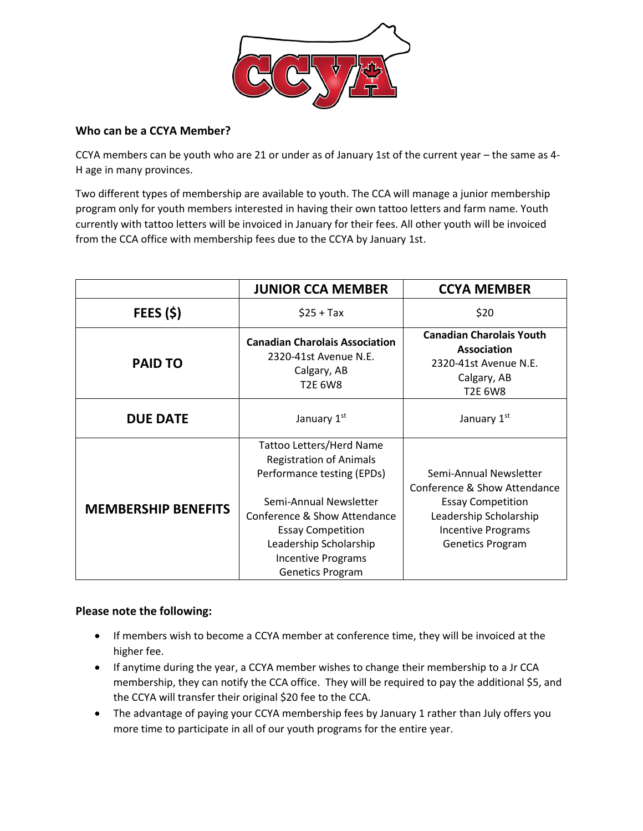

## **Who can be a CCYA Member?**

CCYA members can be youth who are 21 or under as of January 1st of the current year – the same as 4- H age in many provinces.

Two different types of membership are available to youth. The CCA will manage a junior membership program only for youth members interested in having their own tattoo letters and farm name. Youth currently with tattoo letters will be invoiced in January for their fees. All other youth will be invoiced from the CCA office with membership fees due to the CCYA by January 1st.

|                            | <b>JUNIOR CCA MEMBER</b>                                                                                                                                                                                                                                         | <b>CCYA MEMBER</b>                                                                                                                                                   |
|----------------------------|------------------------------------------------------------------------------------------------------------------------------------------------------------------------------------------------------------------------------------------------------------------|----------------------------------------------------------------------------------------------------------------------------------------------------------------------|
| FEES(S)                    | $$25 + Tax$                                                                                                                                                                                                                                                      | \$20                                                                                                                                                                 |
| <b>PAID TO</b>             | <b>Canadian Charolais Association</b><br>2320-41st Avenue N.E.<br>Calgary, AB<br>T2E 6W8                                                                                                                                                                         | <b>Canadian Charolais Youth</b><br>Association<br>2320-41st Avenue N.E.<br>Calgary, AB<br><b>T2E 6W8</b>                                                             |
| <b>DUE DATE</b>            | January 1st                                                                                                                                                                                                                                                      | January 1st                                                                                                                                                          |
| <b>MEMBERSHIP BENEFITS</b> | Tattoo Letters/Herd Name<br><b>Registration of Animals</b><br>Performance testing (EPDs)<br>Semi-Annual Newsletter<br>Conference & Show Attendance<br><b>Essay Competition</b><br>Leadership Scholarship<br><b>Incentive Programs</b><br><b>Genetics Program</b> | Semi-Annual Newsletter<br>Conference & Show Attendance<br><b>Essay Competition</b><br>Leadership Scholarship<br><b>Incentive Programs</b><br><b>Genetics Program</b> |

## **Please note the following:**

- If members wish to become a CCYA member at conference time, they will be invoiced at the higher fee.
- If anytime during the year, a CCYA member wishes to change their membership to a Jr CCA membership, they can notify the CCA office. They will be required to pay the additional \$5, and the CCYA will transfer their original \$20 fee to the CCA.
- The advantage of paying your CCYA membership fees by January 1 rather than July offers you more time to participate in all of our youth programs for the entire year.